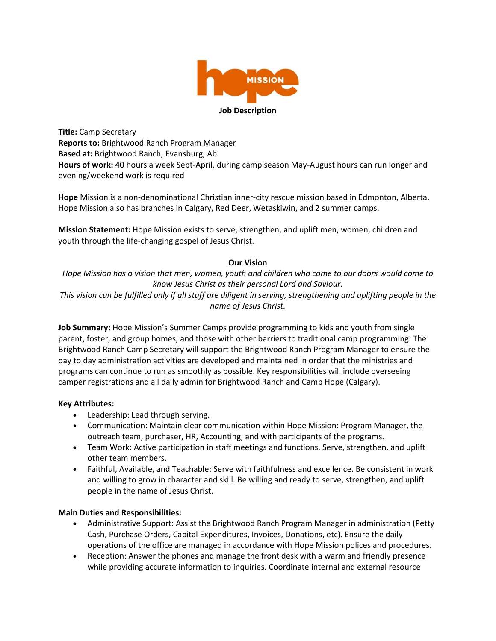

**Title:** Camp Secretary **Reports to:** Brightwood Ranch Program Manager **Based at:** Brightwood Ranch, Evansburg, Ab. **Hours of work:** 40 hours a week Sept-April, during camp season May-August hours can run longer and evening/weekend work is required

**Hope** Mission is a non-denominational Christian inner-city rescue mission based in Edmonton, Alberta. Hope Mission also has branches in Calgary, Red Deer, Wetaskiwin, and 2 summer camps.

**Mission Statement:** Hope Mission exists to serve, strengthen, and uplift men, women, children and youth through the life-changing gospel of Jesus Christ.

# **Our Vision**

*Hope Mission has a vision that men, women, youth and children who come to our doors would come to know Jesus Christ as their personal Lord and Saviour.* 

*This vision can be fulfilled only if all staff are diligent in serving, strengthening and uplifting people in the name of Jesus Christ.* 

**Job Summary:** Hope Mission's Summer Camps provide programming to kids and youth from single parent, foster, and group homes, and those with other barriers to traditional camp programming. The Brightwood Ranch Camp Secretary will support the Brightwood Ranch Program Manager to ensure the day to day administration activities are developed and maintained in order that the ministries and programs can continue to run as smoothly as possible. Key responsibilities will include overseeing camper registrations and all daily admin for Brightwood Ranch and Camp Hope (Calgary).

## **Key Attributes:**

- Leadership: Lead through serving.
- Communication: Maintain clear communication within Hope Mission: Program Manager, the outreach team, purchaser, HR, Accounting, and with participants of the programs.
- Team Work: Active participation in staff meetings and functions. Serve, strengthen, and uplift other team members.
- Faithful, Available, and Teachable: Serve with faithfulness and excellence. Be consistent in work and willing to grow in character and skill. Be willing and ready to serve, strengthen, and uplift people in the name of Jesus Christ.

## **Main Duties and Responsibilities:**

- Administrative Support: Assist the Brightwood Ranch Program Manager in administration (Petty Cash, Purchase Orders, Capital Expenditures, Invoices, Donations, etc). Ensure the daily operations of the office are managed in accordance with Hope Mission polices and procedures.
- Reception: Answer the phones and manage the front desk with a warm and friendly presence while providing accurate information to inquiries. Coordinate internal and external resource